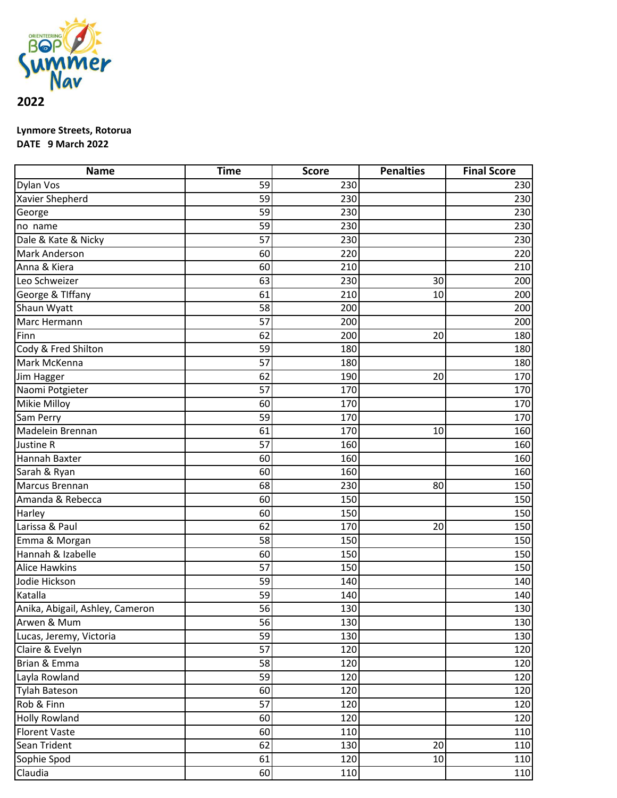

## **Lynmore Streets, Rotorua DATE 9 March 2022**

| <b>Name</b>                     | <b>Time</b> | <b>Score</b> | <b>Penalties</b> | <b>Final Score</b> |
|---------------------------------|-------------|--------------|------------------|--------------------|
| <b>Dylan Vos</b>                | 59          | 230          |                  | 230                |
| Xavier Shepherd                 | 59          | 230          |                  | 230                |
| George                          | 59          | 230          |                  | 230                |
| no name                         | 59          | 230          |                  | 230                |
| Dale & Kate & Nicky             | 57          | 230          |                  | 230                |
| <b>Mark Anderson</b>            | 60          | 220          |                  | 220                |
| Anna & Kiera                    | 60          | 210          |                  | 210                |
| Leo Schweizer                   | 63          | 230          | 30               | 200                |
| George & Tlffany                | 61          | 210          | 10               | 200                |
| Shaun Wyatt                     | 58          | 200          |                  | 200                |
| Marc Hermann                    | 57          | 200          |                  | 200                |
| Finn                            | 62          | 200          | 20               | 180                |
| Cody & Fred Shilton             | 59          | 180          |                  | 180                |
| Mark McKenna                    | 57          | 180          |                  | 180                |
| Jim Hagger                      | 62          | 190          | 20               | 170                |
| Naomi Potgieter                 | 57          | 170          |                  | 170                |
| Mikie Milloy                    | 60          | 170          |                  | 170                |
| Sam Perry                       | 59          | 170          |                  | 170                |
| Madelein Brennan                | 61          | 170          | 10               | 160                |
| Justine R                       | 57          | 160          |                  | 160                |
| Hannah Baxter                   | 60          | 160          |                  | 160                |
| Sarah & Ryan                    | 60          | 160          |                  | 160                |
| Marcus Brennan                  | 68          | 230          | 80               | 150                |
| Amanda & Rebecca                | 60          | 150          |                  | 150                |
| Harley                          | 60          | 150          |                  | 150                |
| Larissa & Paul                  | 62          | 170          | 20               | 150                |
| Emma & Morgan                   | 58          | 150          |                  | 150                |
| Hannah & Izabelle               | 60          | 150          |                  | 150                |
| <b>Alice Hawkins</b>            | 57          | 150          |                  | 150                |
| Jodie Hickson                   | 59          | 140          |                  | 140                |
| Katalla                         | 59          | 140          |                  | 140                |
| Anika, Abigail, Ashley, Cameron | 56          | 130          |                  | 130                |
| Arwen & Mum                     | 56          | 130          |                  | 130                |
| Lucas, Jeremy, Victoria         | 59          | 130          |                  | 130                |
| Claire & Evelyn                 | 57          | 120          |                  | 120                |
| Brian & Emma                    | 58          | 120          |                  | 120                |
| Layla Rowland                   | 59          | 120          |                  | 120                |
| <b>Tylah Bateson</b>            | 60          | 120          |                  | 120                |
| Rob & Finn                      | 57          | 120          |                  | 120                |
| <b>Holly Rowland</b>            | 60          | 120          |                  | 120                |
| <b>Florent Vaste</b>            | 60          | 110          |                  | 110                |
| Sean Trident                    | 62          | 130          | 20               | 110                |
| Sophie Spod                     | 61          | 120          | 10               | 110                |
| Claudia                         | 60          | 110          |                  | $\overline{11}0$   |